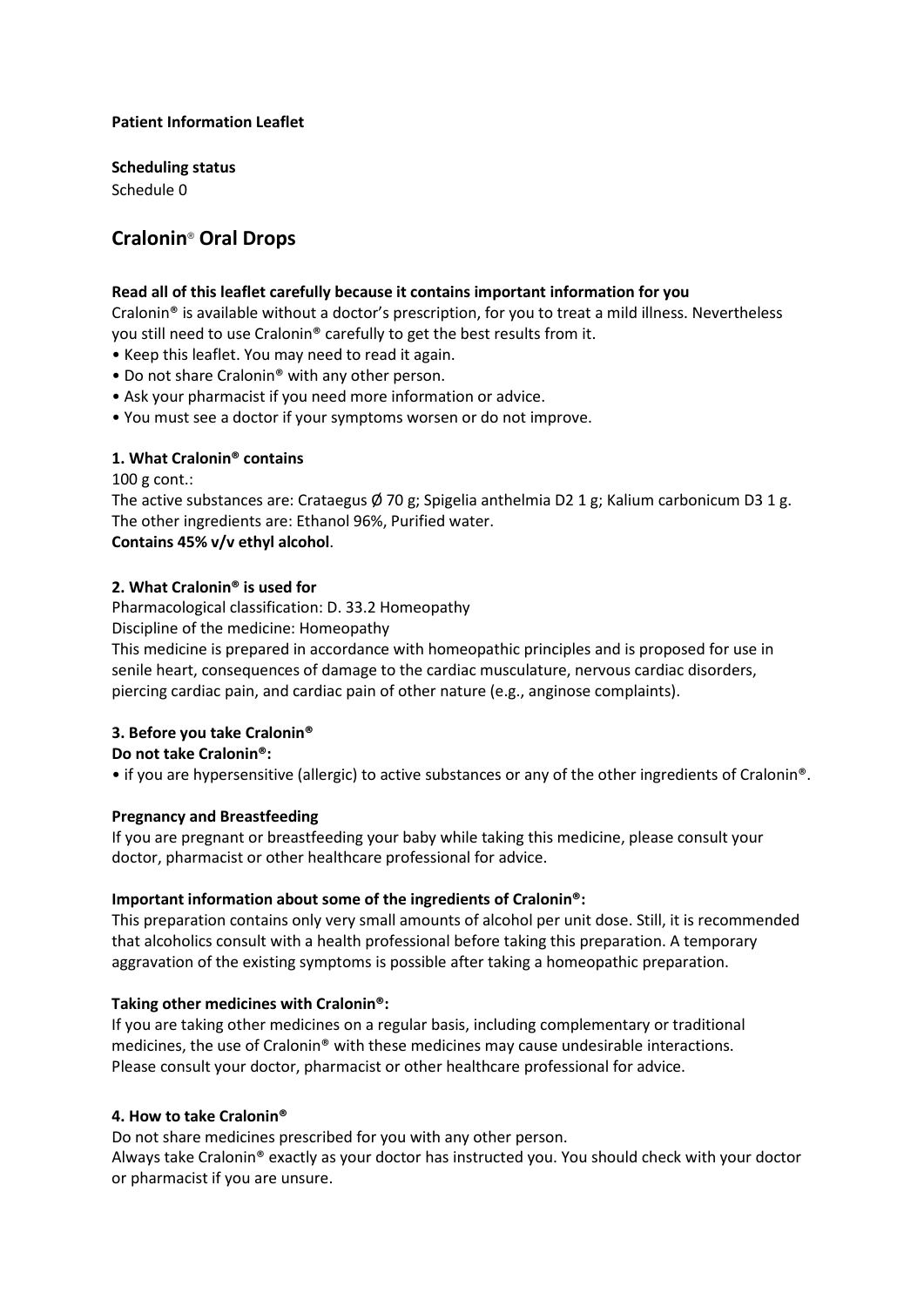### **Patient Information Leaflet**

**Scheduling status** Schedule 0

# **Cralonin**® **Oral Drops**

## **Read all of this leaflet carefully because it contains important information for you**

Cralonin® is available without a doctor's prescription, for you to treat a mild illness. Nevertheless you still need to use Cralonin® carefully to get the best results from it.

- Keep this leaflet. You may need to read it again.
- Do not share Cralonin® with any other person.
- Ask your pharmacist if you need more information or advice.
- You must see a doctor if your symptoms worsen or do not improve.

# **1. What Cralonin® contains**

100 g cont.:

The active substances are: Crataegus  $\emptyset$  70 g; Spigelia anthelmia D2 1 g; Kalium carbonicum D3 1 g. The other ingredients are: Ethanol 96%, Purified water. **Contains 45% v/v ethyl alcohol**.

## **2. What Cralonin® is used for**

Pharmacological classification: D. 33.2 Homeopathy

Discipline of the medicine: Homeopathy

This medicine is prepared in accordance with homeopathic principles and is proposed for use in senile heart, consequences of damage to the cardiac musculature, nervous cardiac disorders, piercing cardiac pain, and cardiac pain of other nature (e.g., anginose complaints).

# **3. Before you take Cralonin®**

**Do not take Cralonin®:**

• if you are hypersensitive (allergic) to active substances or any of the other ingredients of Cralonin®.

# **Pregnancy and Breastfeeding**

If you are pregnant or breastfeeding your baby while taking this medicine, please consult your doctor, pharmacist or other healthcare professional for advice.

#### **Important information about some of the ingredients of Cralonin®:**

This preparation contains only very small amounts of alcohol per unit dose. Still, it is recommended that alcoholics consult with a health professional before taking this preparation. A temporary aggravation of the existing symptoms is possible after taking a homeopathic preparation.

# **Taking other medicines with Cralonin®:**

If you are taking other medicines on a regular basis, including complementary or traditional medicines, the use of Cralonin® with these medicines may cause undesirable interactions. Please consult your doctor, pharmacist or other healthcare professional for advice.

#### **4. How to take Cralonin®**

Do not share medicines prescribed for you with any other person.

Always take Cralonin® exactly as your doctor has instructed you. You should check with your doctor or pharmacist if you are unsure.